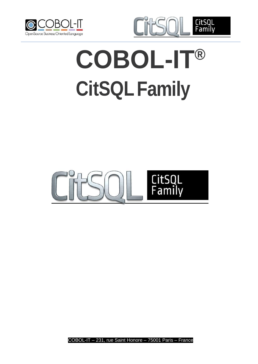



# **COBOL-IT® CitSQLFamily**

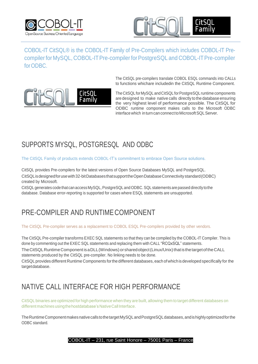



COBOL-IT CitSQL® is the COBOL-IT Family of Pre-Compilers which includes COBOL-IT Precompiler for MySQL, COBOL-IT Pre-compiler for PostgreSQL and COBOL-IT Pre-compiler for ODBC.

> The CitSQL pre-compilers translate COBOL ESQL commands into CALLs to functions whichare includedin the CitSQL Runtime Component.



TheCitSQL forMySQL andCitSQL forPostgreSQL runtime components are designed to make native calls directly to the database ensuring the very highest level of performance possible. The CitSQL for ODBC runtime component makes calls to the Microsoft ODBC interface which in turn can connect to Microsoft SQL Server.

## SUPPORTS MYSQL, POSTGRESQL AND ODBC

The CitSQL Family of products extends COBOL-IT's commitment to embrace Open Source solutions.

CitSQL provides Pre-compilers for the latest versions of Open Source Databases MySQL and PostgreSQL. CitSQLisdesignedforusewith32-bitDatabasesthatsupporttheOpenDatabaseConnectivity standard(ODBC) created by Microsoft.

CitSQL generates code that can access MySQL, PostgreSQL and ODBC. SQL statements are passed directly to the database. Database error-reporting is supported for cases where ESQL statements are unsupported.

## PRE-COMPILER AND RUNTIMECOMPONENT

The CitSQL Pre-compiler serves as a replacement to COBOL ESQL Pre-compilers provided by other vendors.

The CitSQL Pre-compiler transforms EXEC SQL statements so that they can be compiled by the COBOL-IT Compiler. This is done by commenting out the EXEC SQL statements and replacing them with CALL "RCQxSQL" statements.

The CitSQL Runtime Component is a DLL (Windows) or shared object (Linux/Unix) that is the target of the CALL statements produced by the CitSQL pre-compiler. No linking needs to be done.

CitSQL provides different Runtime Components forthe different databases, each ofwhichis developed specifically for the targetdatabase.

## NATIVE CALL INTERFACE FOR HIGH PERFORMANCE

CitSQL binaries are optimized for high performance when they are built, allowing them to target different databases on different machines using the hostdatabase's Native Call Interface.

The Runtime Component makes native calls to the target MySQL and PostgreSQL databases, and is highly optimized for the ODBC standard.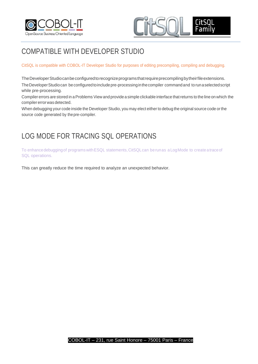



## COMPATIBLE WITH DEVELOPER STUDIO

CitSQL is compatible with COBOL-IT Developer Studio for purposes of editing precompiling, compiling and debugging.

The Developer Studio can be configured to recognize programs that require precompiling by their file extensions. The Developer Studio can be configured to include pre-processing in the compiler command and to runa selected script while pre-processing.

Compiler errors are stored in a Problems View and provide a simple clickable interface that returns to the line on which the compiler errorwas detected.

When debugging your code inside the Developer Studio, you may elect either to debug the original source code orthe source code generated by thepre-compiler.

## LOG MODE FOR TRACING SQL OPERATIONS

To enhancedebuggingof programs withESQL statements,CitSQLcan berunas a LogMode to create atraceof SQL operations.

This can greatly reduce the time required to analyze an unexpected behavior.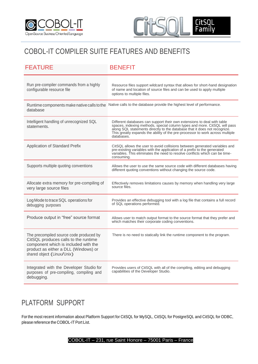



## COBOL-IT COMPILER SUITE FEATURES AND BENEFITS

| <b>FEATURE</b>                                                                                                                                                                                | <b>BENEFIT</b>                                                                                                                                                                                                                                                                                                                   |
|-----------------------------------------------------------------------------------------------------------------------------------------------------------------------------------------------|----------------------------------------------------------------------------------------------------------------------------------------------------------------------------------------------------------------------------------------------------------------------------------------------------------------------------------|
| Run pre-compiler commands from a highly<br>configurable resource file                                                                                                                         | Resource files support wildcard syntax that allows for short-hand designation<br>of name and location of source files and can be used to apply multiple<br>options to multiple files.                                                                                                                                            |
| database                                                                                                                                                                                      | Runtime components make native calls to the Native calls to the database provide the highest level of performance.                                                                                                                                                                                                               |
| Intelligent handling of unrecognized SQL<br>statements.                                                                                                                                       | Different databases can support their own extensions to deal with table<br>spaces, indexing methods, special column types and more. CitSQL will pass<br>along SQL statements directly to the database that it does not recognize.<br>This greatly expands the ability of the pre-processor to work across multiple<br>databases. |
| Application of Standard Prefix                                                                                                                                                                | CitSQL allows the user to avoid collisions between generated variables and<br>pre-existing variables with the application of a prefix to the generated<br>variables. This eliminates the need to resolve conflicts which can be time-<br>consuming.                                                                              |
| Supports multiple quoting conventions                                                                                                                                                         | Allows the user to use the same source code with different databases having<br>different quoting conventions without changing the source code.                                                                                                                                                                                   |
| Allocate extra memory for pre-compiling of<br>very large source files                                                                                                                         | Effectively removes limitations causes by memory when handling very large<br>source files.                                                                                                                                                                                                                                       |
| Log Mode to trace SQL operations for<br>debugging purposes                                                                                                                                    | Provides an effective debugging tool with a log file that contains a full record<br>of SQL operations performed.                                                                                                                                                                                                                 |
| Produce output in "free" source format                                                                                                                                                        | Allows user to match output format to the source format that they prefer and<br>which matches their corporate coding conventions.                                                                                                                                                                                                |
| The precompiled source code produced by<br>CitSQL produces calls to the runtime<br>component which is included with the<br>product as either a DLL (Windows) or<br>shared object (Linux/Unix) | There is no need to statically link the runtime component to the program.                                                                                                                                                                                                                                                        |
| Integrated with the Developer Studio for<br>purposes of pre-compiling, compiling and<br>debugging.                                                                                            | Provides users of CitSQL with all of the compiling, editing and debugging<br>capabilities of the Developer Studio.                                                                                                                                                                                                               |

## PLATFORM SUPPORT

Forthe most recent information about Platform Support for CitSQL for MySQL, CitSQL for PostgreSQL and CitSQL for ODBC, please reference the COBOL-IT Port List.